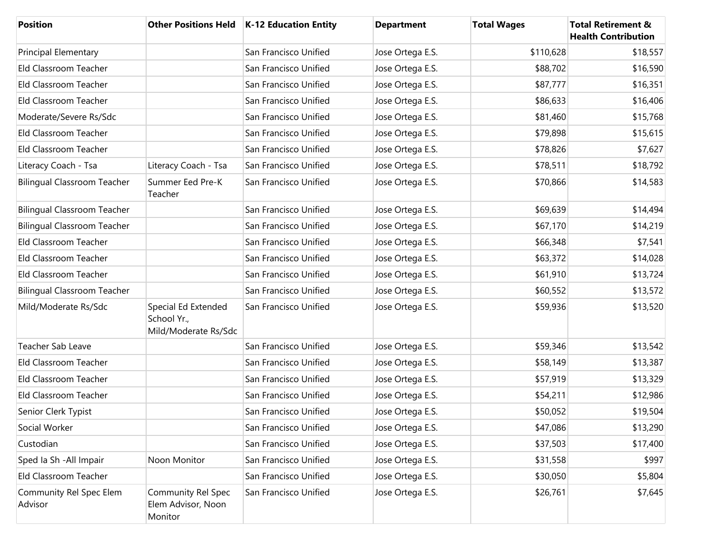| <b>Position</b>                    |                                                            | Other Positions Held   K-12 Education Entity | <b>Department</b> | <b>Total Wages</b> | <b>Total Retirement &amp;</b><br><b>Health Contribution</b> |
|------------------------------------|------------------------------------------------------------|----------------------------------------------|-------------------|--------------------|-------------------------------------------------------------|
| <b>Principal Elementary</b>        |                                                            | San Francisco Unified                        | Jose Ortega E.S.  | \$110,628          | \$18,557                                                    |
| Eld Classroom Teacher              |                                                            | San Francisco Unified                        | Jose Ortega E.S.  | \$88,702           | \$16,590                                                    |
| Eld Classroom Teacher              |                                                            | San Francisco Unified                        | Jose Ortega E.S.  | \$87,777           | \$16,351                                                    |
| Eld Classroom Teacher              |                                                            | San Francisco Unified                        | Jose Ortega E.S.  | \$86,633           | \$16,406                                                    |
| Moderate/Severe Rs/Sdc             |                                                            | San Francisco Unified                        | Jose Ortega E.S.  | \$81,460           | \$15,768                                                    |
| Eld Classroom Teacher              |                                                            | San Francisco Unified                        | Jose Ortega E.S.  | \$79,898           | \$15,615                                                    |
| Eld Classroom Teacher              |                                                            | San Francisco Unified                        | Jose Ortega E.S.  | \$78,826           | \$7,627                                                     |
| Literacy Coach - Tsa               | Literacy Coach - Tsa                                       | San Francisco Unified                        | Jose Ortega E.S.  | \$78,511           | \$18,792                                                    |
| <b>Bilingual Classroom Teacher</b> | Summer Eed Pre-K<br>Teacher                                | San Francisco Unified                        | Jose Ortega E.S.  | \$70,866           | \$14,583                                                    |
| <b>Bilingual Classroom Teacher</b> |                                                            | San Francisco Unified                        | Jose Ortega E.S.  | \$69,639           | \$14,494                                                    |
| <b>Bilingual Classroom Teacher</b> |                                                            | San Francisco Unified                        | Jose Ortega E.S.  | \$67,170           | \$14,219                                                    |
| Eld Classroom Teacher              |                                                            | San Francisco Unified                        | Jose Ortega E.S.  | \$66,348           | \$7,541                                                     |
| Eld Classroom Teacher              |                                                            | San Francisco Unified                        | Jose Ortega E.S.  | \$63,372           | \$14,028                                                    |
| Eld Classroom Teacher              |                                                            | San Francisco Unified                        | Jose Ortega E.S.  | \$61,910           | \$13,724                                                    |
| <b>Bilingual Classroom Teacher</b> |                                                            | San Francisco Unified                        | Jose Ortega E.S.  | \$60,552           | \$13,572                                                    |
| Mild/Moderate Rs/Sdc               | Special Ed Extended<br>School Yr.,<br>Mild/Moderate Rs/Sdc | San Francisco Unified                        | Jose Ortega E.S.  | \$59,936           | \$13,520                                                    |
| Teacher Sab Leave                  |                                                            | San Francisco Unified                        | Jose Ortega E.S.  | \$59,346           | \$13,542                                                    |
| Eld Classroom Teacher              |                                                            | San Francisco Unified                        | Jose Ortega E.S.  | \$58,149           | \$13,387                                                    |
| Eld Classroom Teacher              |                                                            | San Francisco Unified                        | Jose Ortega E.S.  | \$57,919           | \$13,329                                                    |
| Eld Classroom Teacher              |                                                            | San Francisco Unified                        | Jose Ortega E.S.  | \$54,211           | \$12,986                                                    |
| Senior Clerk Typist                |                                                            | San Francisco Unified                        | Jose Ortega E.S.  | \$50,052           | \$19,504                                                    |
| Social Worker                      |                                                            | San Francisco Unified                        | Jose Ortega E.S.  | \$47,086           | \$13,290                                                    |
| Custodian                          |                                                            | San Francisco Unified                        | Jose Ortega E.S.  | \$37,503           | \$17,400                                                    |
| Sped Ia Sh - All Impair            | Noon Monitor                                               | San Francisco Unified                        | Jose Ortega E.S.  | \$31,558           | \$997                                                       |
| Eld Classroom Teacher              |                                                            | San Francisco Unified                        | Jose Ortega E.S.  | \$30,050           | \$5,804                                                     |
| Community Rel Spec Elem<br>Advisor | Community Rel Spec<br>Elem Advisor, Noon<br>Monitor        | San Francisco Unified                        | Jose Ortega E.S.  | \$26,761           | \$7,645                                                     |